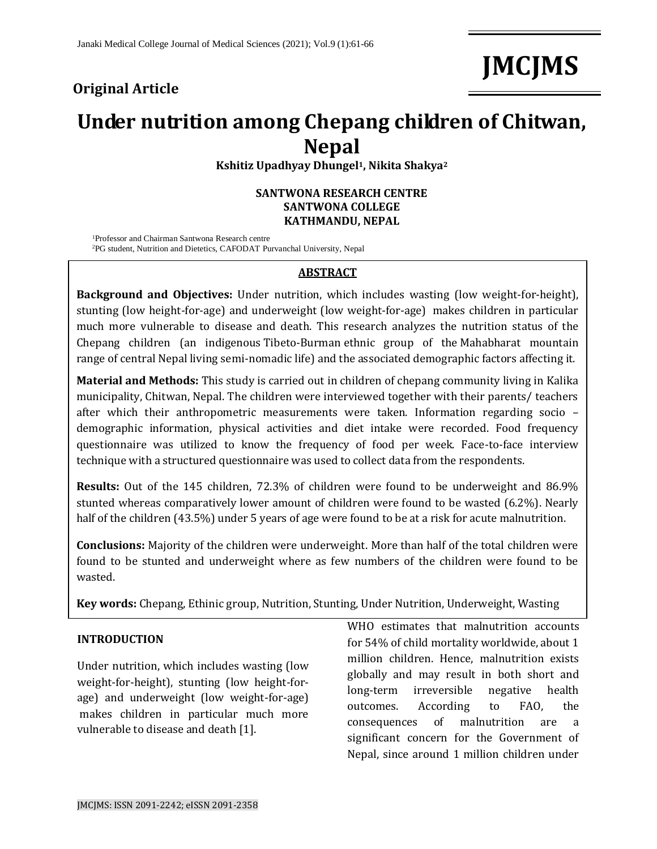### **Original Article**

# **JMCJMS**

## **Under nutrition among Chepang children of Chitwan, Nepal**

**Kshitiz Upadhyay Dhungel1, Nikita Shakya<sup>2</sup>**

#### **SANTWONA RESEARCH CENTRE SANTWONA COLLEGE KATHMANDU, NEPAL**

<sup>1</sup>Professor and Chairman Santwona Research centre

<sup>2</sup>PG student, Nutrition and Dietetics, CAFODAT Purvanchal University, Nepal

#### **ABSTRACT**

**Background and Objectives:** Under nutrition, which includes wasting (low weight-for-height), stunting (low height-for-age) and underweight (low weight-for-age) makes children in particular much more vulnerable to disease and death. This research analyzes the nutrition status of the Chepang children (an indigenous [Tibeto-Burman](https://en.wikipedia.org/wiki/Tibeto-Burman) ethnic group of the [Mahabharat mountain](https://en.wikipedia.org/wiki/Lower_Himalayan_Range)  [range](https://en.wikipedia.org/wiki/Lower_Himalayan_Range) of central Nepal living semi-nomadic life) and the associated demographic factors affecting it.

**Material and Methods:** This study is carried out in children of chepang community living in Kalika municipality, Chitwan, Nepal. The children were interviewed together with their parents/ teachers after which their anthropometric measurements were taken. Information regarding socio – demographic information, physical activities and diet intake were recorded. Food frequency questionnaire was utilized to know the frequency of food per week. Face-to-face interview technique with a structured questionnaire was used to collect data from the respondents.

**Results:** Out of the 145 children, 72.3% of children were found to be underweight and 86.9% stunted whereas comparatively lower amount of children were found to be wasted (6.2%). Nearly half of the children (43.5%) under 5 years of age were found to be at a risk for acute malnutrition.

**Conclusions:** Majority of the children were underweight. More than half of the total children were found to be stunted and underweight where as few numbers of the children were found to be wasted.

**Key words:** Chepang, Ethinic group, Nutrition, Stunting, Under Nutrition, Underweight, Wasting

#### **INTRODUCTION**

Under nutrition, which includes wasting (low weight-for-height), stunting (low height-forage) and underweight (low weight-for-age) makes children in particular much more vulnerable to disease and death [1].

WHO estimates that malnutrition accounts for 54% of child mortality worldwide, about 1 million children. Hence, malnutrition exists globally and may result in both short and long-term irreversible negative health outcomes. According to FAO, the consequences of malnutrition are a significant concern for the Government of Nepal, since around 1 million children under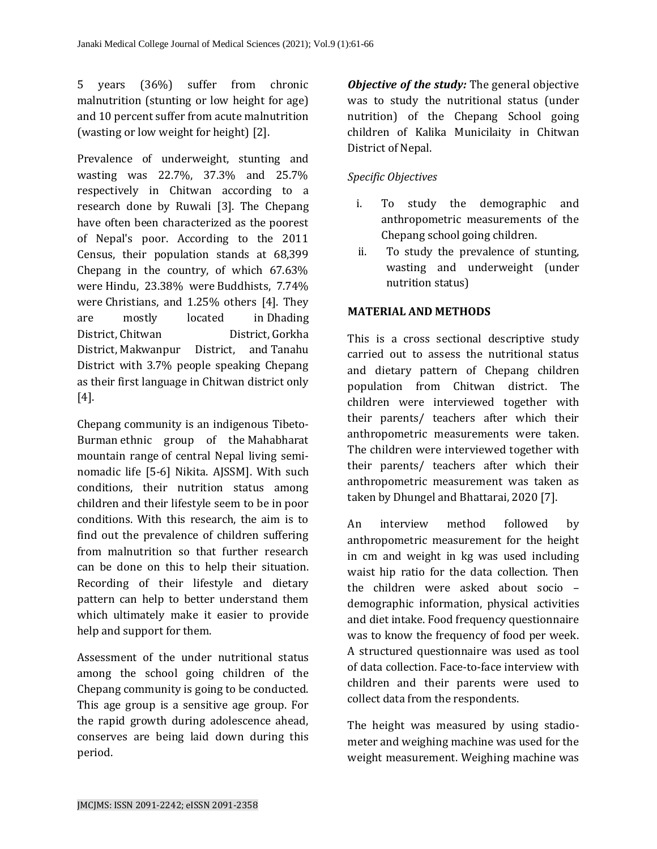5 years (36%) suffer from chronic malnutrition (stunting or low height for age) and 10 percent suffer from acute malnutrition (wasting or low weight for height) [2].

Prevalence of underweight, stunting and wasting was 22.7%, 37.3% and 25.7% respectively in Chitwan according to a research done by Ruwali [3]. The Chepang have often been characterized as the poorest of Nepal's poor. According to the 2011 Census, their population stands at 68,399 Chepang in the country, of which 67.63% were [Hindu,](https://en.wikipedia.org/wiki/Hindu) 23.38% were [Buddhists,](https://en.wikipedia.org/wiki/Buddhists) 7.74% were [Christians,](https://en.wikipedia.org/wiki/Christians) and 1.25% others [4]. They are mostly located in [Dhading](https://en.wikipedia.org/wiki/Dhading_District)  [District,](https://en.wikipedia.org/wiki/Dhading_District) [Chitwan District,](https://en.wikipedia.org/wiki/Chitwan_District) [Gorkha](https://en.wikipedia.org/wiki/Gorkha_District)  [District,](https://en.wikipedia.org/wiki/Gorkha_District) [Makwanpur District,](https://en.wikipedia.org/wiki/Makwanpur_District) and [Tanahu](https://en.wikipedia.org/wiki/Tanahu_District)  [District](https://en.wikipedia.org/wiki/Tanahu_District) with 3.7% people speaking Chepang as their first language in Chitwan district only [4].

Chepang community is an indigenous [Tibeto-](https://en.wikipedia.org/wiki/Tibeto-Burman)[Burman](https://en.wikipedia.org/wiki/Tibeto-Burman) ethnic group of the [Mahabharat](https://en.wikipedia.org/wiki/Lower_Himalayan_Range)  [mountain range](https://en.wikipedia.org/wiki/Lower_Himalayan_Range) of central Nepal living seminomadic life [5-6] Nikita. AJSSM]. With such conditions, their nutrition status among children and their lifestyle seem to be in poor conditions. With this research, the aim is to find out the prevalence of children suffering from malnutrition so that further research can be done on this to help their situation. Recording of their lifestyle and dietary pattern can help to better understand them which ultimately make it easier to provide help and support for them.

Assessment of the under nutritional status among the school going children of the Chepang community is going to be conducted. This age group is a sensitive age group. For the rapid growth during adolescence ahead, conserves are being laid down during this period.

*Objective of the study:* The general objective was to study the nutritional status (under nutrition) of the Chepang School going children of Kalika Municilaity in Chitwan District of Nepal.

#### *Specific Objectives*

- i. To study the demographic and anthropometric measurements of the Chepang school going children.
- ii. To study the prevalence of stunting, wasting and underweight (under nutrition status)

#### **MATERIAL AND METHODS**

This is a cross sectional descriptive study carried out to assess the nutritional status and dietary pattern of Chepang children population from Chitwan district. The children were interviewed together with their parents/ teachers after which their anthropometric measurements were taken. The children were interviewed together with their parents/ teachers after which their anthropometric measurement was taken as taken by Dhungel and Bhattarai, 2020 [7].

An interview method followed by anthropometric measurement for the height in cm and weight in kg was used including waist hip ratio for the data collection. Then the children were asked about socio – demographic information, physical activities and diet intake. Food frequency questionnaire was to know the frequency of food per week. A structured questionnaire was used as tool of data collection. Face-to-face interview with children and their parents were used to collect data from the respondents.

The height was measured by using stadiometer and weighing machine was used for the weight measurement. Weighing machine was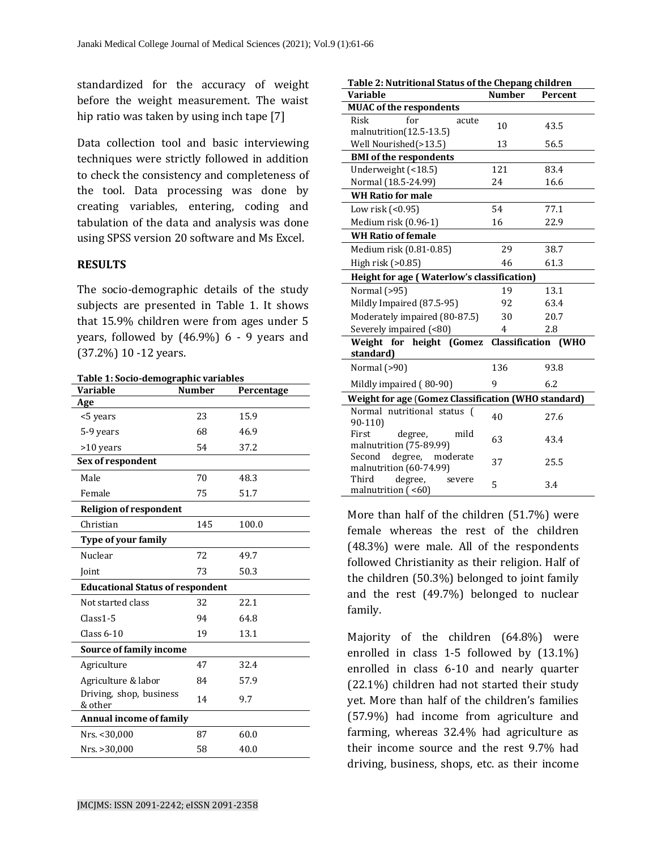standardized for the accuracy of weight before the weight measurement. The waist hip ratio was taken by using inch tape [7]

Data collection tool and basic interviewing techniques were strictly followed in addition to check the consistency and completeness of the tool. Data processing was done by creating variables, entering, coding and tabulation of the data and analysis was done using SPSS version 20 software and Ms Excel.

#### **RESULTS**

The socio-demographic details of the study subjects are presented in Table 1. It shows that 15.9% children were from ages under 5 years, followed by (46.9%) 6 - 9 years and (37.2%) 10 -12 years.

| Table 1: Socio-demographic variables    |               |            |  |  |
|-----------------------------------------|---------------|------------|--|--|
| <b>Variable</b>                         | <b>Number</b> | Percentage |  |  |
| Age                                     |               |            |  |  |
| <5 years                                | 23            | 15.9       |  |  |
| 5-9 years                               | 68            | 46.9       |  |  |
| >10 years                               | 54            | 37.2       |  |  |
| Sex of respondent                       |               |            |  |  |
| Male                                    | 70            | 48.3       |  |  |
| Female                                  | 75            | 51.7       |  |  |
| <b>Religion of respondent</b>           |               |            |  |  |
| Christian                               | 145           | 100.0      |  |  |
| <b>Type of your family</b>              |               |            |  |  |
| Nuclear                                 | 72            | 49.7       |  |  |
| Joint                                   | 73            | 50.3       |  |  |
| <b>Educational Status of respondent</b> |               |            |  |  |
| Not started class                       | 32            | 22.1       |  |  |
| $Class 1-5$                             | 94            | 64.8       |  |  |
| Class $6-10$                            | 19            | 13.1       |  |  |
| Source of family income                 |               |            |  |  |
| Agriculture                             | 47            | 32.4       |  |  |
| Agriculture & labor                     | 84            | 57.9       |  |  |
| Driving, shop, business<br>& other      | 14            | 9.7        |  |  |
| <b>Annual income of family</b>          |               |            |  |  |
| Nrs. < 30,000                           | 87            | 60.0       |  |  |
| Nrs. > 30,000                           | 58            | 40.0       |  |  |

| Table 2: Nutritional Status of the Chepang children        |                |                            |  |  |
|------------------------------------------------------------|----------------|----------------------------|--|--|
| Variable                                                   | <b>Number</b>  | Percent                    |  |  |
| <b>MUAC</b> of the respondents                             |                |                            |  |  |
| Risk<br>for<br>acute<br>malnutrition(12.5-13.5)            | 10             | 43.5                       |  |  |
| Well Nourished(>13.5)                                      | 13             | 56.5                       |  |  |
| <b>BMI</b> of the respondents                              |                |                            |  |  |
| Underweight (<18.5)                                        | 121            | 83.4                       |  |  |
| Normal (18.5-24.99)                                        | 24             | 16.6                       |  |  |
| <b>WH Ratio for male</b>                                   |                |                            |  |  |
| Low risk (<0.95)                                           | 54             | 77.1                       |  |  |
| Medium risk (0.96-1)                                       | 16             | 22.9                       |  |  |
| <b>WH Ratio of female</b>                                  |                |                            |  |  |
| Medium risk (0.81-0.85)                                    | 29             | 38.7                       |  |  |
| High risk (>0.85)                                          | 46             | 61.3                       |  |  |
| Height for age (Waterlow's classification)                 |                |                            |  |  |
| Normal (>95)                                               | 19             | 13.1                       |  |  |
| Mildly Impaired (87.5-95)                                  | 92             | 63.4                       |  |  |
| Moderately impaired (80-87.5)                              | 30             | 20.7                       |  |  |
| Severely impaired (<80)                                    | $\overline{4}$ | 2.8                        |  |  |
| Weight for height (Gomez<br>standard)                      |                | <b>Classification (WHO</b> |  |  |
| Normal (>90)                                               | 136            | 93.8                       |  |  |
| Mildly impaired (80-90)                                    | 9              | 6.2                        |  |  |
| <b>Weight for age (Gomez Classification (WHO standard)</b> |                |                            |  |  |
| Normal nutritional status<br>$\sqrt{ }$<br>$90-110$        | 40             | 27.6                       |  |  |
| First<br>mild<br>degree,<br>malnutrition (75-89.99)        | 63             | 43.4                       |  |  |
| degree,<br>Second<br>moderate<br>malnutrition (60-74.99)   | 37             | 25.5                       |  |  |
| Third<br>degree,<br>severe<br>malnutrition $($ <60)        | 5              | 3.4                        |  |  |

More than half of the children (51.7%) were female whereas the rest of the children (48.3%) were male. All of the respondents followed Christianity as their religion. Half of the children (50.3%) belonged to joint family and the rest (49.7%) belonged to nuclear family.

Majority of the children (64.8%) were enrolled in class 1-5 followed by (13.1%) enrolled in class 6-10 and nearly quarter (22.1%) children had not started their study yet. More than half of the children's families (57.9%) had income from agriculture and farming, whereas 32.4% had agriculture as their income source and the rest 9.7% had driving, business, shops, etc. as their income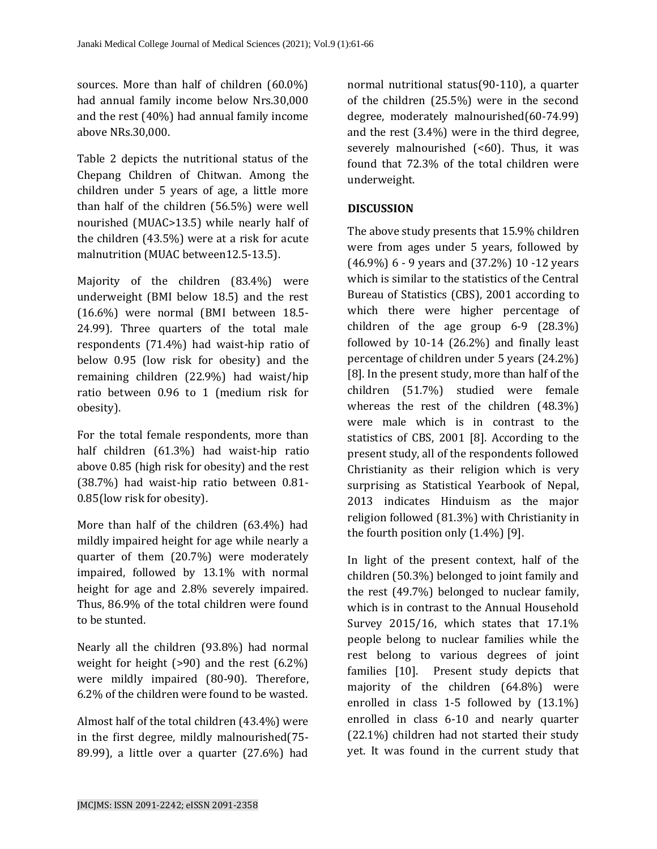sources. More than half of children (60.0%) had annual family income below Nrs.30,000 and the rest (40%) had annual family income above NRs.30,000.

Table 2 depicts the nutritional status of the Chepang Children of Chitwan. Among the children under 5 years of age, a little more than half of the children (56.5%) were well nourished (MUAC>13.5) while nearly half of the children (43.5%) were at a risk for acute malnutrition (MUAC between12.5-13.5).

Majority of the children (83.4%) were underweight (BMI below 18.5) and the rest (16.6%) were normal (BMI between 18.5- 24.99). Three quarters of the total male respondents (71.4%) had waist-hip ratio of below 0.95 (low risk for obesity) and the remaining children (22.9%) had waist/hip ratio between 0.96 to 1 (medium risk for obesity).

For the total female respondents, more than half children (61.3%) had waist-hip ratio above 0.85 (high risk for obesity) and the rest (38.7%) had waist-hip ratio between 0.81- 0.85(low risk for obesity).

More than half of the children (63.4%) had mildly impaired height for age while nearly a quarter of them (20.7%) were moderately impaired, followed by 13.1% with normal height for age and 2.8% severely impaired. Thus, 86.9% of the total children were found to be stunted.

Nearly all the children (93.8%) had normal weight for height  $(>90)$  and the rest  $(6.2\%)$ were mildly impaired (80-90). Therefore, 6.2% of the children were found to be wasted.

Almost half of the total children (43.4%) were in the first degree, mildly malnourished(75- 89.99), a little over a quarter (27.6%) had

normal nutritional status(90-110), a quarter of the children (25.5%) were in the second degree, moderately malnourished(60-74.99) and the rest (3.4%) were in the third degree, severely malnourished  $(560)$ . Thus, it was found that 72.3% of the total children were underweight.

#### **DISCUSSION**

The above study presents that 15.9% children were from ages under 5 years, followed by (46.9%) 6 - 9 years and (37.2%) 10 -12 years which is similar to the statistics of the Central Bureau of Statistics (CBS), 2001 according to which there were higher percentage of children of the age group 6-9 (28.3%) followed by 10-14 (26.2%) and finally least percentage of children under 5 years (24.2%) [8]. In the present study, more than half of the children (51.7%) studied were female whereas the rest of the children (48.3%) were male which is in contrast to the statistics of CBS, 2001 [8]. According to the present study, all of the respondents followed Christianity as their religion which is very surprising as Statistical Yearbook of Nepal, 2013 indicates Hinduism as the major religion followed (81.3%) with Christianity in the fourth position only (1.4%) [9].

In light of the present context, half of the children (50.3%) belonged to joint family and the rest (49.7%) belonged to nuclear family, which is in contrast to the Annual Household Survey 2015/16, which states that 17.1% people belong to nuclear families while the rest belong to various degrees of joint families [10]. Present study depicts that majority of the children (64.8%) were enrolled in class 1-5 followed by (13.1%) enrolled in class 6-10 and nearly quarter (22.1%) children had not started their study yet. It was found in the current study that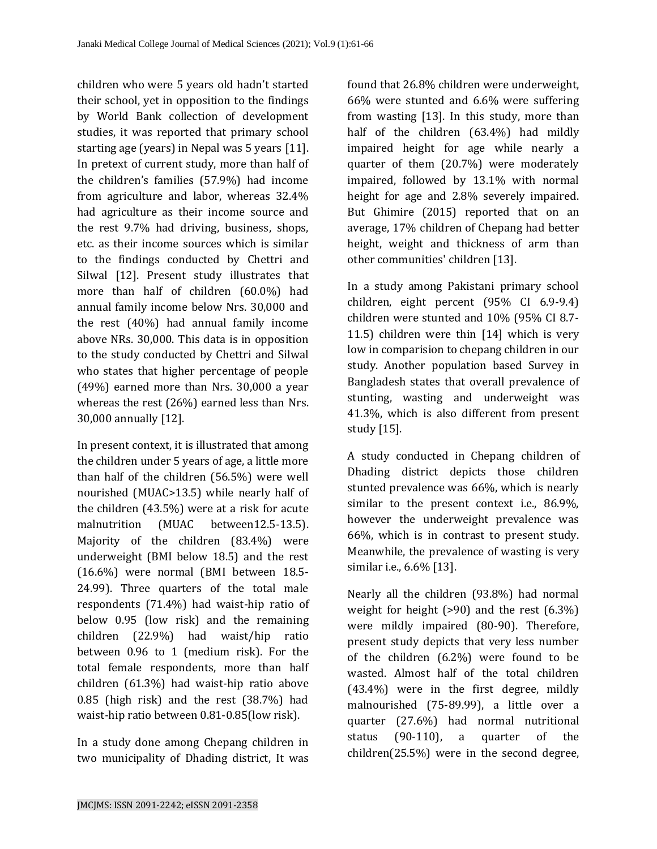children who were 5 years old hadn't started their school, yet in opposition to the findings by World Bank collection of development studies, it was reported that primary school starting age (years) in Nepal was 5 years [11]. In pretext of current study, more than half of the children's families (57.9%) had income from agriculture and labor, whereas 32.4% had agriculture as their income source and the rest 9.7% had driving, business, shops, etc. as their income sources which is similar to the findings conducted by Chettri and Silwal [12]. Present study illustrates that more than half of children (60.0%) had annual family income below Nrs. 30,000 and the rest (40%) had annual family income above NRs. 30,000. This data is in opposition to the study conducted by Chettri and Silwal who states that higher percentage of people (49%) earned more than Nrs. 30,000 a year whereas the rest (26%) earned less than Nrs. 30,000 annually [12].

In present context, it is illustrated that among the children under 5 years of age, a little more than half of the children (56.5%) were well nourished (MUAC>13.5) while nearly half of the children (43.5%) were at a risk for acute malnutrition (MUAC between12.5-13.5). Majority of the children (83.4%) were underweight (BMI below 18.5) and the rest (16.6%) were normal (BMI between 18.5- 24.99). Three quarters of the total male respondents (71.4%) had waist-hip ratio of below 0.95 (low risk) and the remaining children (22.9%) had waist/hip ratio between 0.96 to 1 (medium risk). For the total female respondents, more than half children (61.3%) had waist-hip ratio above 0.85 (high risk) and the rest (38.7%) had waist-hip ratio between 0.81-0.85(low risk).

In a study done among Chepang children in two municipality of Dhading district, It was found that 26.8% children were underweight, 66% were stunted and 6.6% were suffering from wasting [13]. In this study, more than half of the children (63.4%) had mildly impaired height for age while nearly a quarter of them (20.7%) were moderately impaired, followed by 13.1% with normal height for age and 2.8% severely impaired. But Ghimire (2015) reported that on an average, 17% children of Chepang had better height, weight and thickness of arm than other communities' children [13].

In a study among Pakistani primary school children, eight percent (95% CI 6.9-9.4) children were stunted and 10% (95% CI 8.7- 11.5) children were thin [14] which is very low in comparision to chepang children in our study. Another population based Survey in Bangladesh states that overall prevalence of stunting, wasting and underweight was 41.3%, which is also different from present study [15].

A study conducted in Chepang children of Dhading district depicts those children stunted prevalence was 66%, which is nearly similar to the present context i.e., 86.9%, however the underweight prevalence was 66%, which is in contrast to present study. Meanwhile, the prevalence of wasting is very similar i.e., 6.6% [13].

Nearly all the children (93.8%) had normal weight for height  $(>90)$  and the rest  $(6.3\%)$ were mildly impaired (80-90). Therefore, present study depicts that very less number of the children (6.2%) were found to be wasted. Almost half of the total children (43.4%) were in the first degree, mildly malnourished (75-89.99), a little over a quarter (27.6%) had normal nutritional status (90-110), a quarter of the children(25.5%) were in the second degree,